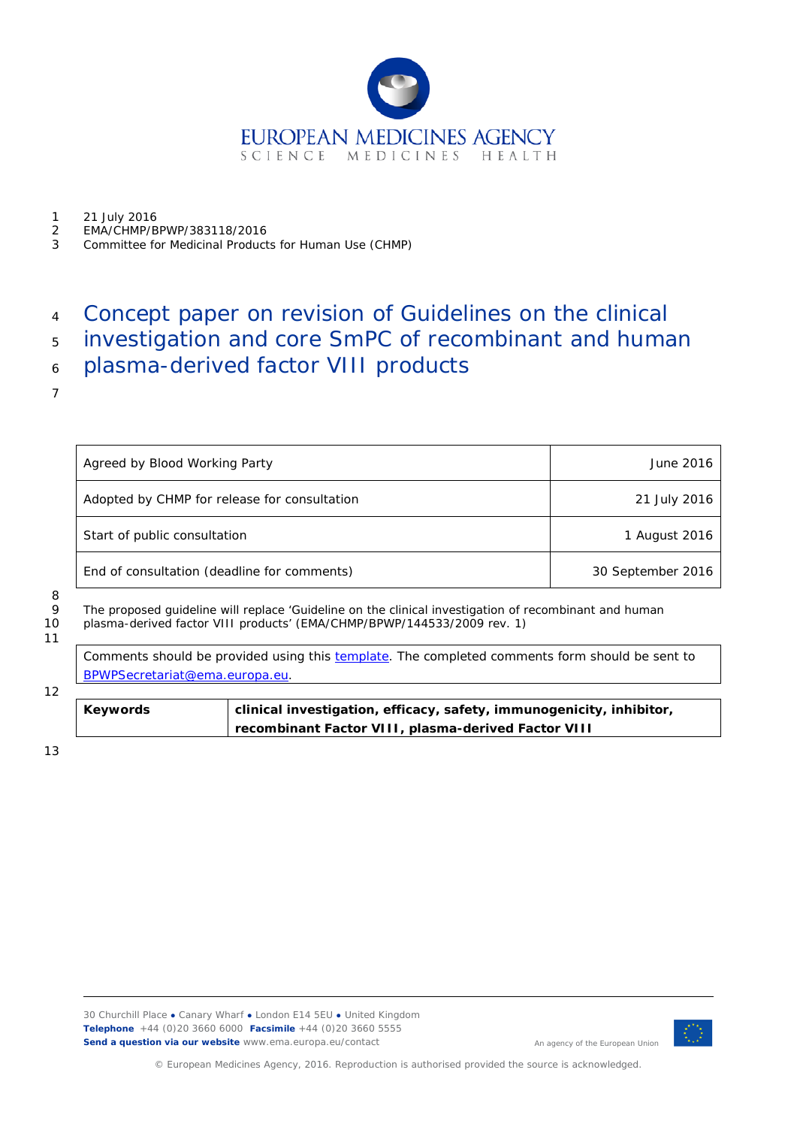

- 1 21 July 2016<br>2 FMA/CHMP/R
- 2 EMA/CHMP/BPWP/383118/2016<br>3 Committee for Medicinal Product
- 3 Committee for Medicinal Products for Human Use (CHMP)

# <sup>4</sup> Concept paper on revision of Guidelines on the clinical

- <sup>5</sup> investigation and core SmPC of recombinant and human
- <sup>6</sup> plasma-derived factor VIII products
- 7

| Agreed by Blood Working Party                | June 2016         |
|----------------------------------------------|-------------------|
| Adopted by CHMP for release for consultation | 21 July 2016      |
| Start of public consultation                 | 1 August 2016     |
| End of consultation (deadline for comments)  | 30 September 2016 |

8

11

12

9 The proposed guideline will replace 'Guideline on the clinical investigation of recombinant and human<br>10 plasma-derived factor VIII products' (EMA/CHMP/BPWP/144533/2009 rev. 1) plasma-derived factor VIII products' (EMA/CHMP/BPWP/144533/2009 rev. 1)

Comments should be provided using this [template.](http://www.ema.europa.eu/docs/en_GB/document_library/Template_or_form/2009/10/WC500004016.doc) The completed comments form should be sent to [BPWPSecretariat@ema.europa.eu.](mailto:BPWPSecretariat@ema.europa.eu)

**Keywords clinical investigation, efficacy, safety, immunogenicity, inhibitor, recombinant Factor VIII, plasma-derived Factor VIII**

13



An agency of the European Union

© European Medicines Agency, 2016. Reproduction is authorised provided the source is acknowledged.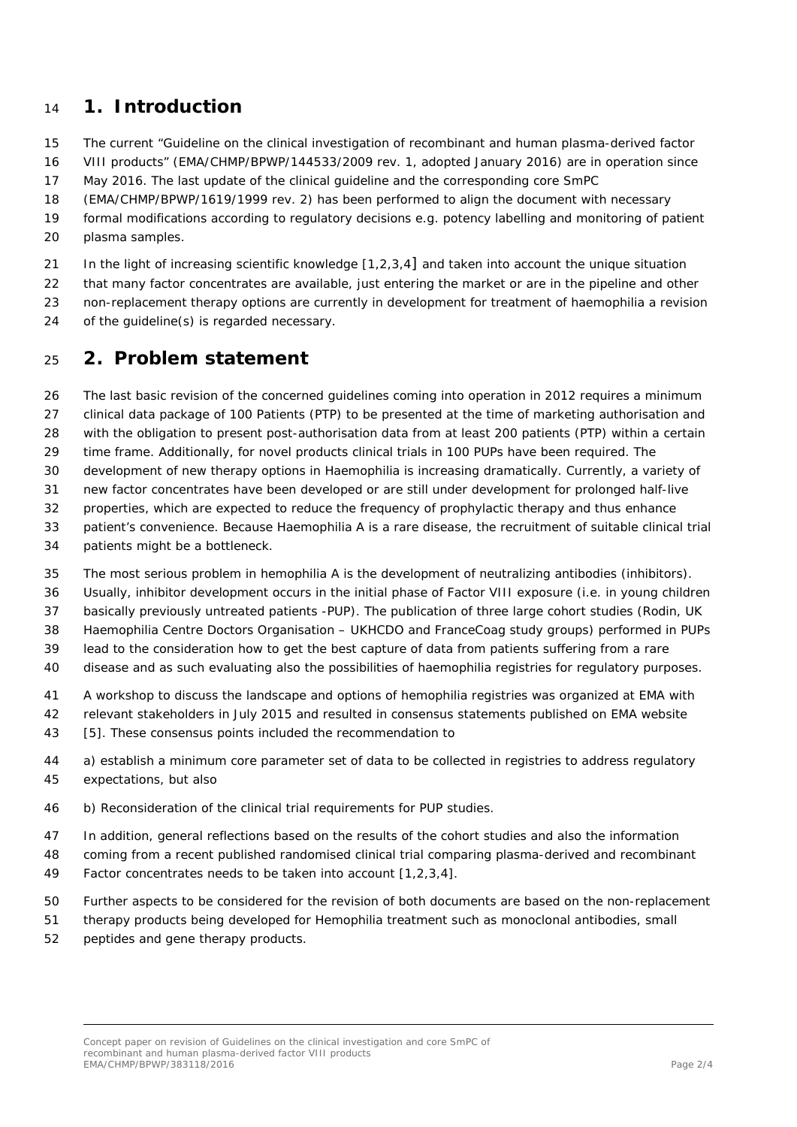## **1. Introduction**

The current "Guideline on the clinical investigation of recombinant and human plasma-derived factor

VIII products" (EMA/CHMP/BPWP/144533/2009 rev. 1, adopted January 2016) are in operation since

May 2016. The last update of the clinical guideline and the corresponding core SmPC

(EMA/CHMP/BPWP/1619/1999 rev. 2) has been performed to align the document with necessary

 formal modifications according to regulatory decisions e.g. potency labelling and monitoring of patient plasma samples.

In the light of increasing scientific knowledge [1,2,3,4] and taken into account the unique situation

22 that many factor concentrates are available, just entering the market or are in the pipeline and other

non-replacement therapy options are currently in development for treatment of haemophilia a revision

of the guideline(s) is regarded necessary.

## **2. Problem statement**

The last basic revision of the concerned guidelines coming into operation in 2012 requires a minimum

clinical data package of 100 Patients (PTP) to be presented at the time of marketing authorisation and

with the obligation to present post-authorisation data from at least 200 patients (PTP) within a certain

time frame. Additionally, for novel products clinical trials in 100 PUPs have been required. The

development of new therapy options in Haemophilia is increasing dramatically. Currently, a variety of

new factor concentrates have been developed or are still under development for prolonged half-live

 properties, which are expected to reduce the frequency of prophylactic therapy and thus enhance patient's convenience. Because Haemophilia A is a rare disease, the recruitment of suitable clinical trial

- patients might be a bottleneck.
- The most serious problem in hemophilia A is the development of neutralizing antibodies (inhibitors).
- Usually, inhibitor development occurs in the initial phase of Factor VIII exposure (i.e. in young children
- basically previously untreated patients -PUP). The publication of three large cohort studies (Rodin, UK

Haemophilia Centre Doctors Organisation – UKHCDO and FranceCoag study groups) performed in PUPs

lead to the consideration how to get the best capture of data from patients suffering from a rare

disease and as such evaluating also the possibilities of haemophilia registries for regulatory purposes.

A workshop to discuss the landscape and options of hemophilia registries was organized at EMA with

- relevant stakeholders in July 2015 and resulted in consensus statements published on EMA website
- 43 [5]. These consensus points included the recommendation to
- a) establish a minimum core parameter set of data to be collected in registries to address regulatory expectations, but also
- b) Reconsideration of the clinical trial requirements for PUP studies.
- In addition, general reflections based on the results of the cohort studies and also the information
- coming from a recent published randomised clinical trial comparing plasma-derived and recombinant
- Factor concentrates needs to be taken into account [1,2,3,4].
- Further aspects to be considered for the revision of both documents are based on the non-replacement
- therapy products being developed for Hemophilia treatment such as monoclonal antibodies, small
- peptides and gene therapy products.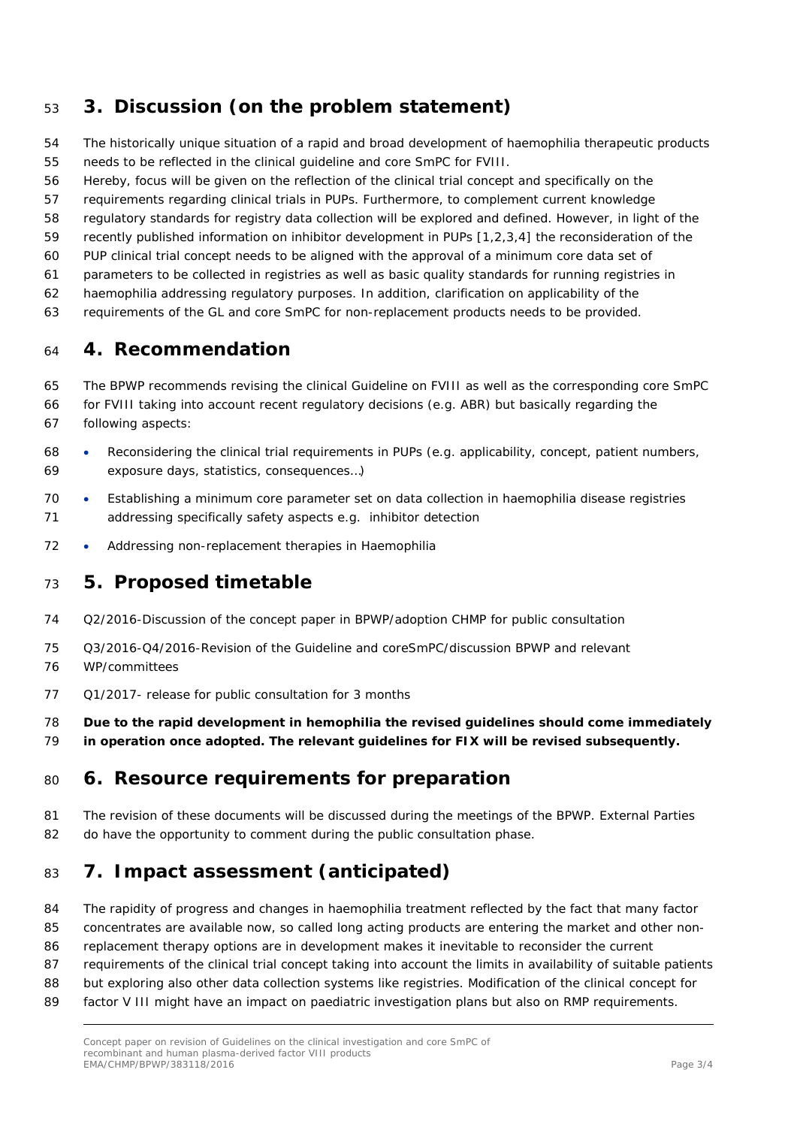## **3. Discussion (on the problem statement)**

- The historically unique situation of a rapid and broad development of haemophilia therapeutic products needs to be reflected in the clinical guideline and core SmPC for FVIII.
- Hereby, focus will be given on the reflection of the clinical trial concept and specifically on the
- requirements regarding clinical trials in PUPs. Furthermore, to complement current knowledge
- regulatory standards for registry data collection will be explored and defined. However, in light of the
- recently published information on inhibitor development in PUPs [1,2,3,4] the reconsideration of the
- PUP clinical trial concept needs to be aligned with the approval of a minimum core data set of
- parameters to be collected in registries as well as basic quality standards for running registries in
- haemophilia addressing regulatory purposes. In addition, clarification on applicability of the
- requirements of the GL and core SmPC for non-replacement products needs to be provided.

#### **4. Recommendation**

- The BPWP recommends revising the clinical Guideline on FVIII as well as the corresponding core SmPC
- for FVIII taking into account recent regulatory decisions (e.g. ABR) but basically regarding the following aspects:
- Reconsidering the clinical trial requirements in PUPs (e.g. applicability, concept, patient numbers, exposure days, statistics, consequences…)
- Establishing a minimum core parameter set on data collection in haemophilia disease registries addressing specifically safety aspects e.g. inhibitor detection
- 72 Addressing non-replacement therapies in Haemophilia

#### **5. Proposed timetable**

- Q2/2016-Discussion of the concept paper in BPWP/adoption CHMP for public consultation
- Q3/2016-Q4/2016-Revision of the Guideline and coreSmPC/discussion BPWP and relevant
- WP/committees
- Q1/2017- release for public consultation for 3 months
- **Due to the rapid development in hemophilia the revised guidelines should come immediately**
- **in operation once adopted. The relevant guidelines for FIX will be revised subsequently.**

#### **6. Resource requirements for preparation**

 The revision of these documents will be discussed during the meetings of the BPWP. External Parties 82 do have the opportunity to comment during the public consultation phase.

# **7. Impact assessment (anticipated)**

- The rapidity of progress and changes in haemophilia treatment reflected by the fact that many factor
- concentrates are available now, so called long acting products are entering the market and other non-
- replacement therapy options are in development makes it inevitable to reconsider the current
- requirements of the clinical trial concept taking into account the limits in availability of suitable patients
- but exploring also other data collection systems like registries. Modification of the clinical concept for
- 89 factor V III might have an impact on paediatric investigation plans but also on RMP requirements.